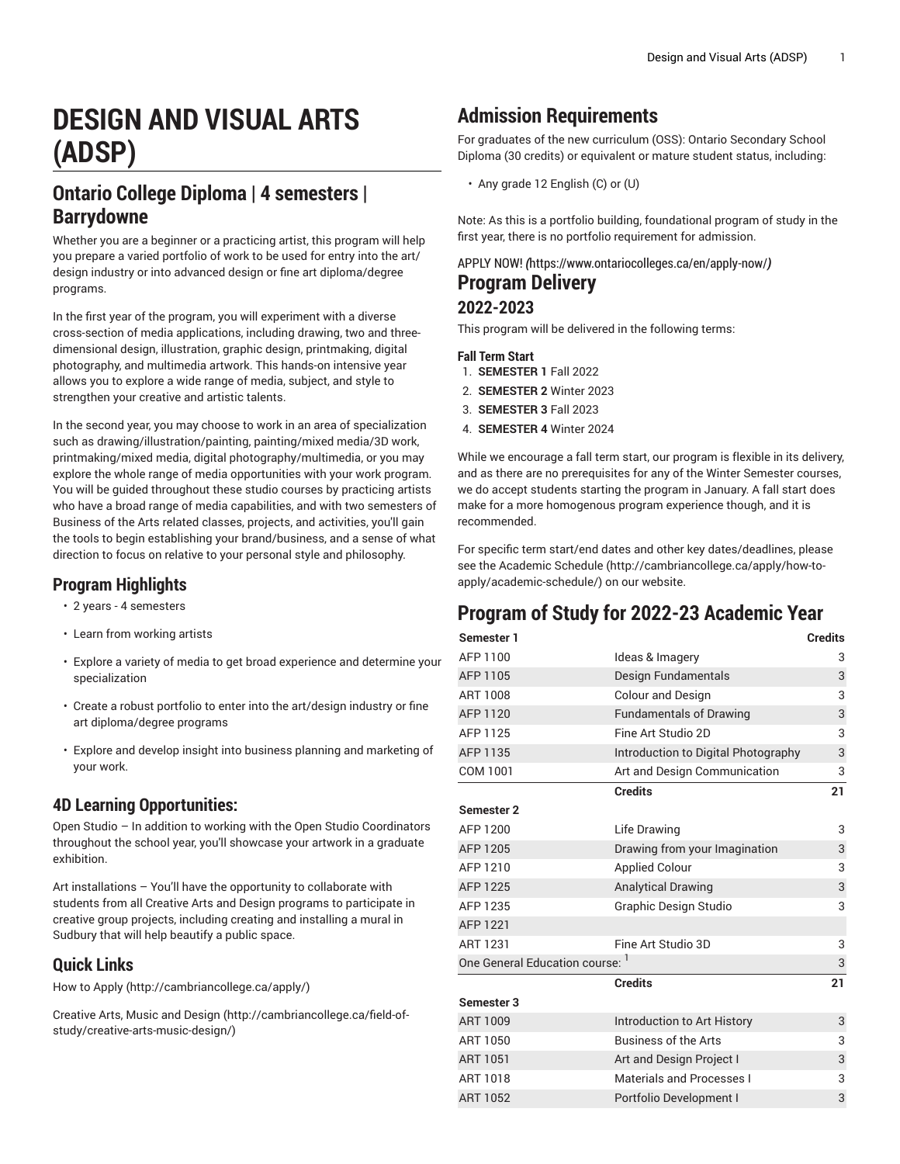# **DESIGN AND VISUAL ARTS (ADSP)**

### **Ontario College Diploma | 4 semesters | Barrydowne**

Whether you are a beginner or a practicing artist, this program will help you prepare a varied portfolio of work to be used for entry into the art/ design industry or into advanced design or fine art diploma/degree programs.

In the first year of the program, you will experiment with a diverse cross-section of media applications, including drawing, two and threedimensional design, illustration, graphic design, printmaking, digital photography, and multimedia artwork. This hands-on intensive year allows you to explore a wide range of media, subject, and style to strengthen your creative and artistic talents.

In the second year, you may choose to work in an area of specialization such as drawing/illustration/painting, painting/mixed media/3D work, printmaking/mixed media, digital photography/multimedia, or you may explore the whole range of media opportunities with your work program. You will be guided throughout these studio courses by practicing artists who have a broad range of media capabilities, and with two semesters of Business of the Arts related classes, projects, and activities, you'll gain the tools to begin establishing your brand/business, and a sense of what direction to focus on relative to your personal style and philosophy.

### **Program Highlights**

- 2 years 4 semesters
- Learn from working artists
- Explore a variety of media to get broad experience and determine your specialization
- Create a robust portfolio to enter into the art/design industry or fine art diploma/degree programs
- Explore and develop insight into business planning and marketing of your work.

### **4D Learning Opportunities:**

Open Studio – In addition to working with the Open Studio Coordinators throughout the school year, you'll showcase your artwork in a graduate exhibition.

Art installations – You'll have the opportunity to collaborate with students from all Creative Arts and Design programs to participate in creative group projects, including creating and installing a mural in Sudbury that will help beautify a public space.

### **Quick Links**

[How to Apply \(http://cambriancollege.ca/apply/](http://cambriancollege.ca/apply/))

[Creative](http://cambriancollege.ca/field-of-study/creative-arts-music-design/) Arts, Music and Design ([http://cambriancollege.ca/field-of](http://cambriancollege.ca/field-of-study/creative-arts-music-design/)[study/creative-arts-music-design/\)](http://cambriancollege.ca/field-of-study/creative-arts-music-design/)

## **Admission Requirements**

For graduates of the new curriculum (OSS): Ontario Secondary School Diploma (30 credits) or equivalent or mature student status, including:

• Any grade 12 English (C) or (U)

Note: As this is a portfolio building, foundational program of study in the first year, there is no portfolio requirement for admission.

[APPLY](https://www.ontariocolleges.ca/en/apply-now/) NOW! *(*<https://www.ontariocolleges.ca/en/apply-now/>*)* **Program Delivery**

### **2022-2023**

This program will be delivered in the following terms:

#### **Fall Term Start**

- 1. **SEMESTER 1** Fall 2022
- 2. **SEMESTER 2** Winter 2023
- 3. **SEMESTER 3** Fall 2023
- 4. **SEMESTER 4** Winter 2024

While we encourage a fall term start, our program is flexible in its delivery, and as there are no prerequisites for any of the Winter Semester courses, we do accept students starting the program in January. A fall start does make for a more homogenous program experience though, and it is recommended.

For specific term start/end dates and other key dates/deadlines, please see the [Academic Schedule \(http://cambriancollege.ca/apply/how-to](http://cambriancollege.ca/apply/how-to-apply/academic-schedule/)[apply/academic-schedule/](http://cambriancollege.ca/apply/how-to-apply/academic-schedule/)) on our website.

# **Program of Study for 2022-23 Academic Year**

| Semester 1                      |                                     | <b>Credits</b> |
|---------------------------------|-------------------------------------|----------------|
| AFP 1100                        | Ideas & Imagery                     | 3              |
| AFP 1105                        | Design Fundamentals                 | 3              |
| ART 1008                        | <b>Colour and Design</b>            | 3              |
| AFP 1120                        | <b>Fundamentals of Drawing</b>      | 3              |
| AFP 1125                        | Fine Art Studio 2D                  | 3              |
| AFP 1135                        | Introduction to Digital Photography | 3              |
| COM 1001                        | Art and Design Communication        | 3              |
|                                 | <b>Credits</b>                      | 21             |
| <b>Semester 2</b>               |                                     |                |
| AFP 1200                        | Life Drawing                        | 3              |
| AFP 1205                        | Drawing from your Imagination       | 3              |
| AFP 1210                        | <b>Applied Colour</b>               | 3              |
| AFP 1225                        | <b>Analytical Drawing</b>           | 3              |
| AFP 1235                        | <b>Graphic Design Studio</b>        | 3              |
| AFP 1221                        |                                     |                |
| ART 1231                        | Fine Art Studio 3D                  | 3              |
| One General Education course: 1 |                                     | 3              |
|                                 | <b>Credits</b>                      | 21             |
| Semester 3                      |                                     |                |
| ART 1009                        | Introduction to Art History         | 3              |
| ART 1050                        | <b>Business of the Arts</b>         | 3              |
| <b>ART 1051</b>                 | Art and Design Project I            | 3              |
| ART 1018                        | Materials and Processes I           | 3              |
| ART 1052                        | Portfolio Development I             | 3              |